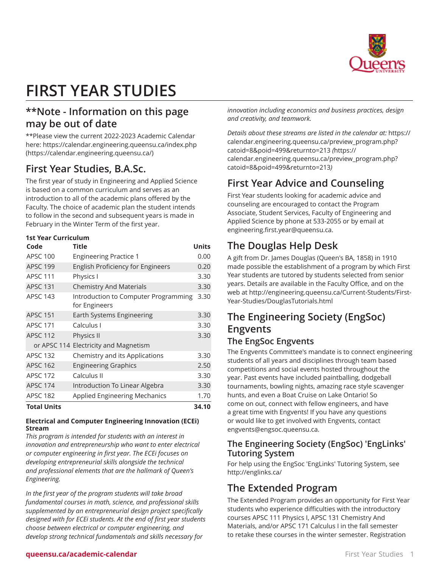

# **FIRST YEAR STUDIES**

## **\*\*Note - Information on this page may be out of date**

\*\*Please view the current 2022-2023 Academic Calendar here: [https://calendar.engineering.queensu.ca/index.php](https://calendar.engineering.queensu.ca/) ([https://calendar.engineering.queensu.ca/\)](https://calendar.engineering.queensu.ca/)

## **First Year Studies, B.A.Sc.**

The first year of study in Engineering and Applied Science is based on a common curriculum and serves as an introduction to all of the academic plans offered by the Faculty. The choice of academic plan the student intends to follow in the second and subsequent years is made in February in the Winter Term of the first year.

## **1st Year Curriculum**

| Code               | <b>Title</b>                                          | <b>Units</b> |
|--------------------|-------------------------------------------------------|--------------|
| <b>APSC 100</b>    | <b>Engineering Practice 1</b>                         | 0.00         |
| <b>APSC 199</b>    | <b>English Proficiency for Engineers</b>              | 0.20         |
| <b>APSC 111</b>    | Physics I                                             | 3.30         |
| <b>APSC 131</b>    | <b>Chemistry And Materials</b>                        | 3.30         |
| <b>APSC 143</b>    | Introduction to Computer Programming<br>for Engineers | 3.30         |
| <b>APSC 151</b>    | Earth Systems Engineering                             | 3.30         |
| <b>APSC 171</b>    | Calculus I                                            | 3.30         |
| <b>APSC 112</b>    | Physics II                                            | 3.30         |
|                    | or APSC 114 Electricity and Magnetism                 |              |
| <b>APSC 132</b>    | Chemistry and its Applications                        | 3.30         |
| <b>APSC 162</b>    | <b>Engineering Graphics</b>                           | 2.50         |
| <b>APSC 172</b>    | Calculus II                                           | 3.30         |
| <b>APSC 174</b>    | Introduction To Linear Algebra                        | 3.30         |
| <b>APSC 182</b>    | <b>Applied Engineering Mechanics</b>                  | 1.70         |
| <b>Total Units</b> |                                                       | 34.10        |

#### **Electrical and Computer Engineering Innovation (ECEi) Stream**

*This program is intended for students with an interest in innovation and entrepreneurship who want to enter electrical or computer engineering in first year. The ECEi focuses on developing entrepreneurial skills alongside the technical and professional elements that are the hallmark of Queen's Engineering.*

*In the first year of the program students will take broad fundamental courses in math, science, and professional skills supplemented by an entrepreneurial design project specifically designed with for ECEi students. At the end of first year students choose between electrical or computer engineering, and develop strong technical fundamentals and skills necessary for*

*innovation including economics and business practices, design and creativity, and teamwork.*

*Details about these streams are listed in the calendar at:* [https://](https://calendar.engineering.queensu.ca/preview_program.php?catoid=8&poid=499&returnto=213) [calendar.engineering.queensu.ca/preview\\_program.php?](https://calendar.engineering.queensu.ca/preview_program.php?catoid=8&poid=499&returnto=213) [catoid=8&poid=499&returnto=213](https://calendar.engineering.queensu.ca/preview_program.php?catoid=8&poid=499&returnto=213) *(*[https://](https://calendar.engineering.queensu.ca/preview_program.php?catoid=8&poid=499&returnto=213) [calendar.engineering.queensu.ca/preview\\_program.php?](https://calendar.engineering.queensu.ca/preview_program.php?catoid=8&poid=499&returnto=213) [catoid=8&poid=499&returnto=213](https://calendar.engineering.queensu.ca/preview_program.php?catoid=8&poid=499&returnto=213)*)*

## **First Year Advice and Counseling**

First Year students looking for academic advice and counseling are encouraged to contact the Program Associate, Student Services, Faculty of Engineering and Applied Science by phone at 533-2055 or by email at [engineering.first.year@queensu.ca.](mailto:engineering.first.year@queensu.ca)

# **The Douglas Help Desk**

A gift from Dr. James Douglas (Queen's BA, 1858) in 1910 made possible the establishment of a program by which First Year students are tutored by students selected from senior years. Details are available in the Faculty Office, and on the web at [http://engineering.queensu.ca/Current-Students/First-](http://engineering.queensu.ca/Current-Students/First-Year-Studies/DouglasTutorials.html)[Year-Studies/DouglasTutorials.html](http://engineering.queensu.ca/Current-Students/First-Year-Studies/DouglasTutorials.html)

# **The Engineering Society (EngSoc) Engvents**

## **The EngSoc Engvents**

The Engvents Committee's mandate is to connect engineering students of all years and disciplines through team based competitions and social events hosted throughout the year. Past events have included paintballing, dodgeball tournaments, bowling nights, amazing race style scavenger hunts, and even a Boat Cruise on Lake Ontario! So come on out, connect with fellow engineers, and have a great time with Engvents! If you have any questions or would like to get involved with Engvents, contact [engvents@engsoc.queensu.ca](mailto:engvents@engsoc.queensu.ca).

## **The Engineering Society (EngSoc) 'EngLinks' Tutoring System**

For help using the EngSoc 'EngLinks' Tutoring System, see <http://englinks.ca/>

## **The Extended Program**

The Extended Program provides an opportunity for First Year students who experience difficulties with the introductory courses APSC 111 Physics I, APSC 131 Chemistry And Materials, and/or APSC 171 Calculus I in the fall semester to retake these courses in the winter semester. Registration

#### **queensu.ca/academic-calendar** First Year Studies 1